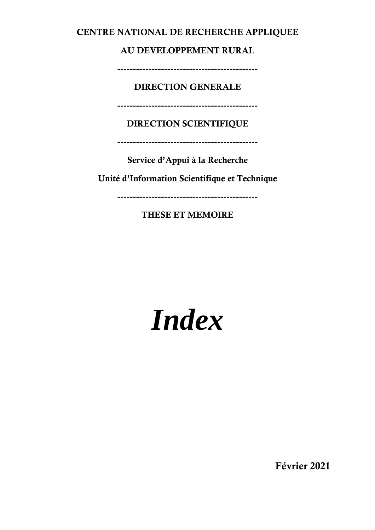#### CENTRE NATIONAL DE RECHERCHE APPLIQUEE

AU DEVELOPPEMENT RURAL

---------------------------------------------

DIRECTION GENERALE

---------------------------------------------

DIRECTION SCIENTIFIQUE

---------------------------------------------

Service d'Appui à la Recherche

Unité d'Information Scientifique et Technique

---------------------------------------------

THESE ET MEMOIRE

# *Index*

Février 2021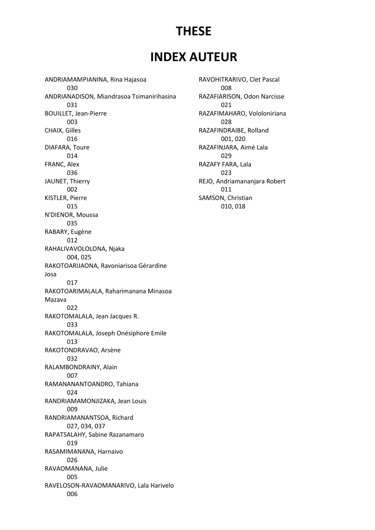## THESE

## INDEX AUTEUR

ANDRIAMAMPIANINA, Rina Hajasoa 030 ANDRIANADISON, Miandrasoa Tsimanirihasina 031 BOUILLET, Jean-Pierre 003 CHAIX, Gilles 016 DIAFARA, Toure 014 FRANC, Alex 036 JAUNET, Thierry 002 KISTLER, Pierre 015 N'DIENOR, Moussa 035 RABARY, Eugène 012 RAHALIVAVOLOLONA, Njaka 004, 025 RAKOTOARIJAONA, Ravoniarisoa Gérardine Josa 017 RAKOTOARIMALALA, Raharimanana Minasoa Mazava 022 RAKOTOMALALA, Jean Jacques R. 033 RAKOTOMALALA, Joseph Onésiphore Emile 013 RAKOTONDRAVAO, Arsène 032 RALAMBONDRAINY, Alain 007 RAMANANANTOANDRO, Tahiana 024 RANDRIAMAMONJIZAKA, Jean Louis 009 RANDRIAMANANTSOA, Richard 027, 034, 037 RAPATSALAHY, Sabine Razanamaro 019 RASAMIMANANA, Harnaivo 026 RAVAOMANANA, Julie 005 RAVELOSON-RAVAOMANARIVO, Lala Harivelo 006

RAVOHITRARIVO, Clet Pascal 008 RAZAFIARISON, Odon Narcisse 021 RAZAFIMAHARO, Vololoniriana 028 RAZAFINDRAIBE, Rolland 001, 020 RAZAFINJARA, Aimé Lala 029 RAZAFY FARA, Lala 023 REJO, Andriamananjara Robert 011 SAMSON, Christian 010, 018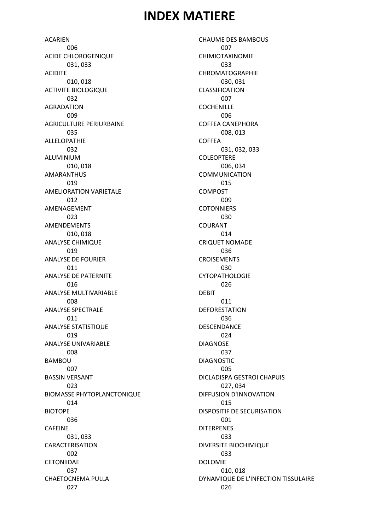## INDEX MATIERE

**ACARIEN**  006 ACIDE CHLOROGENIQUE 031, 033 ACIDITE 010, 018 ACTIVITE BIOLOGIQUE 032 AGRADATION 009 AGRICULTURE PERIURBAINE 035 ALLELOPATHIE 032 ALUMINIUM 010, 018 AMARANTHUS 019 AMELIORATION VARIETALE 012 AMENAGEMENT 023 AMENDEMENTS 010, 018 ANALYSE CHIMIQUE 019 ANALYSE DE FOURIER 011 ANALYSE DE PATERNITE 016 ANALYSE MULTIVARIABLE 008 ANALYSE SPECTRALE 011 ANALYSE STATISTIQUE 019 ANALYSE UNIVARIABLE 008 BAMBOU 007 BASSIN VERSANT 023 BIOMASSE PHYTOPLANCTONIQUE 014 BIOTOPE 036 CAFEINE 031, 033 CARACTERISATION 002 **CETONIIDAE**  037 CHAETOCNEMA PULLA 027

CHAUME DES BAMBOUS 007 CHIMIOTAXINOMIE 033 CHROMATOGRAPHIE 030, 031 CLASSIFICATION 007 **COCHENILLE**  006 COFFEA CANEPHORA 008, 013 COFFEA 031, 032, 033 COLEOPTERE 006, 034 COMMUNICATION 015 COMPOST 009 **COTONNIERS**  030 COURANT 014 CRIQUET NOMADE 036 CROISEMENTS 030 **CYTOPATHOLOGIE**  026 DEBIT 011 **DEFORESTATION**  036 DESCENDANCE 024 DIAGNOSE 037 DIAGNOSTIC 005 DICLADISPA GESTROI CHAPUIS 027, 034 DIFFUSION D'INNOVATION 015 DISPOSITIF DE SECURISATION 001 DITERPENES 033 DIVERSITE BIOCHIMIQUE 033 DOLOMIE 010, 018 DYNAMIQUE DE L'INFECTION TISSULAIRE 026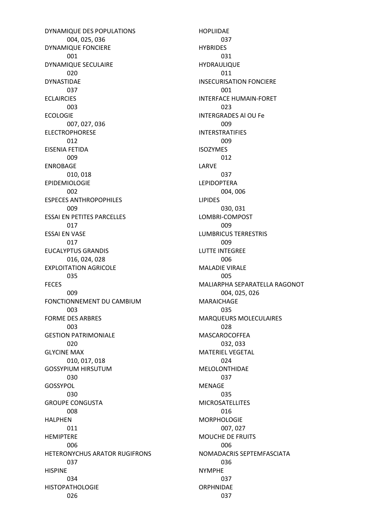DYNAMIQUE DES POPULATIONS 004, 025, 036 DYNAMIQUE FONCIERE 001 DYNAMIQUE SECULAIRE 020 DYNASTIDAE 037 **ECLAIRCIES**  003 ECOLOGIE 007, 027, 036 ELECTROPHORESE 012 EISENIA FETIDA 009 ENROBAGE 010, 018 EPIDEMIOLOGIE 002 ESPECES ANTHROPOPHILES 009 ESSAI EN PETITES PARCELLES 017 ESSAI EN VASE 017 EUCALYPTUS GRANDIS 016, 024, 028 EXPLOITATION AGRICOLE 035 FECES 009 FONCTIONNEMENT DU CAMBIUM 003 FORME DES ARBRES 003 GESTION PATRIMONIALE 020 GLYCINE MAX 010, 017, 018 GOSSYPIUM HIRSUTUM 030 GOSSYPOL 030 GROUPE CONGUSTA 008 HALPHEN 011 HEMIPTERE 006 HETERONYCHUS ARATOR RUGIFRONS 037 HISPINE 034 **HISTOPATHOLOGIE** 026

HOPLIIDAE 037 **HYBRIDES**  031 HYDRAULIQUE 011 INSECURISATION FONCIERE 001 INTERFACE HUMAIN-FORET 023 INTERGRADES Al OU Fe 009 INTERSTRATIFIES 009 ISOZYMES 012 LARVE 037 LEPIDOPTERA 004, 006 LIPIDES 030, 031 LOMBRI-COMPOST 009 LUMBRICUS TERRESTRIS 009 LUTTE INTEGREE 006 MALADIE VIRALE 005 MALIARPHA SEPARATELLA RAGONOT 004, 025, 026 MARAICHAGE 035 MARQUEURS MOLECULAIRES 028 MASCAROCOFFEA 032, 033 MATERIEL VEGETAL 024 MELOLONTHIDAE 037 MENAGE 035 MICROSATELLITES 016 MORPHOLOGIE 007, 027 MOUCHE DE FRUITS 006 NOMADACRIS SEPTEMFASCIATA 036 NYMPHE 037 ORPHNIDAE 037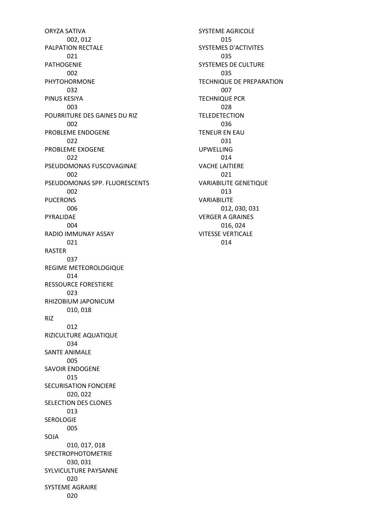ORYZA SATIVA 002, 012 PALPATION RECTALE 021 PATHOGENIE 002 PHYTOHORMONE 032 PINUS KESIYA 003 POURRITURE DES GAINES DU RIZ 002 PROBLEME ENDOGENE 022 PROBLEME EXOGENE 022 PSEUDOMONAS FUSCOVAGINAE 002 PSEUDOMONAS SPP. FLUORESCENTS 002 PUCERONS 006 PYRALIDAE  $0<sub>0</sub>4$ RADIO IMMUNAY ASSAY 021 RASTER 037 REGIME METEOROLOGIQUE 014 RESSOURCE FORESTIERE 023 RHIZOBIUM JAPONICUM 010, 018 RIZ 012 RIZICULTURE AQUATIQUE 034 SANTE ANIMALE 005 SAVOIR ENDOGENE 015 SECURISATION FONCIERE 020, 022 SELECTION DES CLONES 013 SEROLOGIE 005 SOJA 010, 017, 018 SPECTROPHOTOMETRIE 030, 031 SYLVICULTURE PAYSANNE 020 SYSTEME AGRAIRE 020

SYSTEME AGRICOLE 015 SYSTEMES D'ACTIVITES 035 SYSTEMES DE CULTURE 035 TECHNIQUE DE PREPARATION 007 TECHNIQUE PCR 028 **TELEDETECTION**  036 TENEUR EN EAU 031 UPWELLING 014 VACHE LAITIERE 021 VARIABILITE GENETIQUE 013 VARIABILITE 012, 030, 031 VERGER A GRAINES 016, 024 VITESSE VERTICALE 014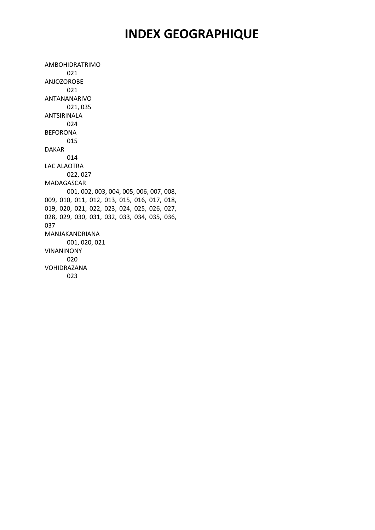## INDEX GEOGRAPHIQUE

AMBOHIDRATRIMO 021 ANJOZOROBE 021 ANTANANARIVO 021, 035 ANTSIRINALA 024 BEFORONA 015 DAKAR 014 LAC ALAOTRA 022, 027 MADAGASCAR 001, 002, 003, 004, 005, 006, 007, 008, 009, 010, 011, 012, 013, 015, 016, 017, 018, 019, 020, 021, 022, 023, 024, 025, 026, 027, 028, 029, 030, 031, 032, 033, 034, 035, 036, 037 MANJAKANDRIANA 001, 020, 021 VINANINONY 020 VOHIDRAZANA 023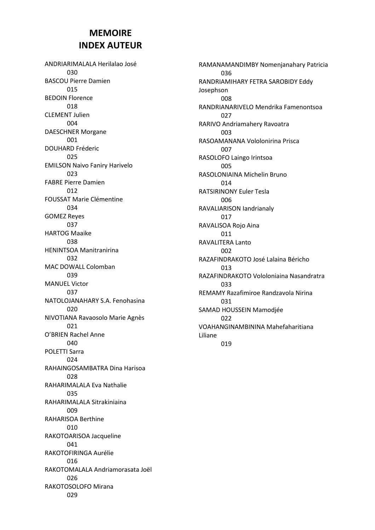#### MEMOIRE INDEX AUTEUR

ANDRIARIMALALA Herilalao José 030 BASCOU Pierre Damien 015 BEDOIN Florence 018 CLEMENT Julien 004 DAESCHNER Morgane 001 DOUHARD Fréderic 025 EMILSON Naivo Faniry Harivelo 023 FABRE Pierre Damien 012 FOUSSAT Marie Clémentine 034 GOMEZ Reyes 037 HARTOG Maaike 038 HENINTSOA Manitranirina 032 MAC DOWALL Colomban 039 MANUEL Victor 037 NATOLOJANAHARY S.A. Fenohasina 020 NIVOTIANA Ravaosolo Marie Agnès 021 O'BRIEN Rachel Anne 040 POLETTI Sarra 024 RAHAINGOSAMBATRA Dina Harisoa 028 RAHARIMALALA Eva Nathalie 035 RAHARIMALALA Sitrakiniaina 009 RAHARISOA Berthine 010 RAKOTOARISOA Jacqueline 041 RAKOTOFIRINGA Aurélie 016 RAKOTOMALALA Andriamorasata Joël 026 RAKOTOSOLOFO Mirana 029

RAMANAMANDIMBY Nomenjanahary Patricia 036 RANDRIAMIHARY FETRA SAROBIDY Eddy Josephson 008 RANDRIANARIVELO Mendrika Famenontsoa 027 RARIVO Andriamahery Ravoatra 003 RASOAMANANA Vololonirina Prisca 007 RASOLOFO Laingo Irintsoa 005 RASOLONIAINA Michelin Bruno  $014$ RATSIRINONY Euler Tesla 006 RAVALIARISON Iandrianaly 017 RAVALISOA Rojo Aina 011 RAVALITERA Lanto 002 RAZAFINDRAKOTO José Lalaina Béricho 013 RAZAFINDRAKOTO Vololoniaina Nasandratra 033 REMAMY Razafimiroe Randzavola Nirina 031 SAMAD HOUSSEIN Mamodjée 022 VOAHANGINAMBININA Mahefaharitiana Liliane 019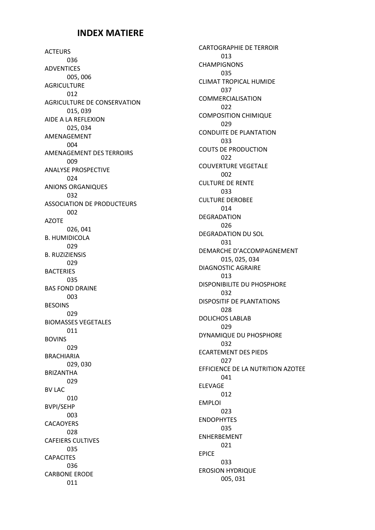#### INDEX MATIERE

ACTEURS 036 ADVENTICES 005, 006 AGRICULTURE 012 AGRICULTURE DE CONSERVATION 015, 039 AIDE A LA REFLEXION 025, 034 AMENAGEMENT  $004$ AMENAGEMENT DES TERROIRS 009 ANALYSE PROSPECTIVE 024 ANIONS ORGANIQUES 032 ASSOCIATION DE PRODUCTEURS 002 AZOTE 026, 041 B. HUMIDICOLA 029 B. RUZIZIENSIS 029 **BACTERIES**  035 BAS FOND DRAINE 003 BESOINS 029 BIOMASSES VEGETALES 011 BOVINS 029 BRACHIARIA 029, 030 BRIZANTHA 029 BV LAC 010 BVPI/SEHP 003 **CACAOYERS**  028 CAFEIERS CULTIVES 035 **CAPACITES**  036 CARBONE ERODE 011

CARTOGRAPHIE DE TERROIR 013 CHAMPIGNONS 035 CLIMAT TROPICAL HUMIDE 037 COMMERCIALISATION 022 COMPOSITION CHIMIQUE 029 CONDUITE DE PLANTATION 033 COUTS DE PRODUCTION 022 COUVERTURE VEGETALE 002 CULTURE DE RENTE 033 CULTURE DEROBEE 014 DEGRADATION 026 DEGRADATION DU SOL 031 DEMARCHE D'ACCOMPAGNEMENT 015, 025, 034 DIAGNOSTIC AGRAIRE 013 DISPONIBILITE DU PHOSPHORE 032 DISPOSITIF DE PLANTATIONS 028 DOLICHOS LABLAB 029 DYNAMIQUE DU PHOSPHORE 032 ECARTEMENT DES PIEDS 027 EFFICIENCE DE LA NUTRITION AZOTEE 041 ELEVAGE 012 EMPLOI 023 ENDOPHYTES 035 ENHERBEMENT 021 EPICE 033 EROSION HYDRIQUE 005, 031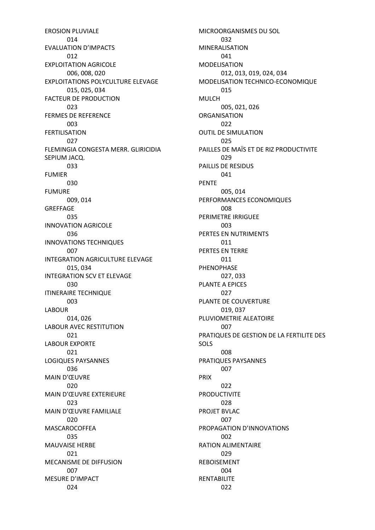EROSION PLUVIALE 014 EVALUATION D'IMPACTS 012 EXPLOITATION AGRICOLE 006, 008, 020 EXPLOITATIONS POLYCULTURE ELEVAGE 015, 025, 034 FACTEUR DE PRODUCTION 023 FERMES DE REFERENCE  $0<sub>0</sub>3$ FERTILISATION 027 FLEMINGIA CONGESTA MERR. GLIRICIDIA SEPIUM JACQ. 033 FUMIER 030 FUMURE 009, 014 GREFFAGE 035 INNOVATION AGRICOLE 036 INNOVATIONS TECHNIQUES 007 INTEGRATION AGRICULTURE ELEVAGE 015, 034 INTEGRATION SCV ET ELEVAGE 030 ITINERAIRE TECHNIQUE 003 LABOUR 014, 026 LABOUR AVEC RESTITUTION 021 LABOUR EXPORTE 021 LOGIQUES PAYSANNES 036 MAIN D'ŒUVRE 020 MAIN D'ŒUVRE EXTERIEURE 023 MAIN D'ŒUVRE FAMILIALE 020 MASCAROCOFFEA 035 MAUVAISE HERBE 021 MECANISME DE DIFFUSION 007 MESURE D'IMPACT 024

MICROORGANISMES DU SOL 032 MINERALISATION 041 MODELISATION 012, 013, 019, 024, 034 MODELISATION TECHNICO-ECONOMIQUE 015 MULCH 005, 021, 026 ORGANISATION 022 OUTIL DE SIMULATION 025 PAILLES DE MAÏS ET DE RIZ PRODUCTIVITE 029 PAILLIS DE RESIDUS 041 PENTE 005, 014 PERFORMANCES ECONOMIQUES 008 PERIMETRE IRRIGUEE  $0<sub>0</sub>$ PERTES EN NUTRIMENTS 011 PERTES EN TERRE 011 PHENOPHASE 027, 033 PLANTE A EPICES 027 PLANTE DE COUVERTURE 019, 037 PLUVIOMETRIE ALEATOIRE 007 PRATIQUES DE GESTION DE LA FERTILITE DES SOLS 008 PRATIQUES PAYSANNES 007 PRIX 022 PRODUCTIVITE 028 PROJET BVLAC 007 PROPAGATION D'INNOVATIONS 002 RATION ALIMENTAIRE 029 REBOISEMENT 004 RENTABILITE 022